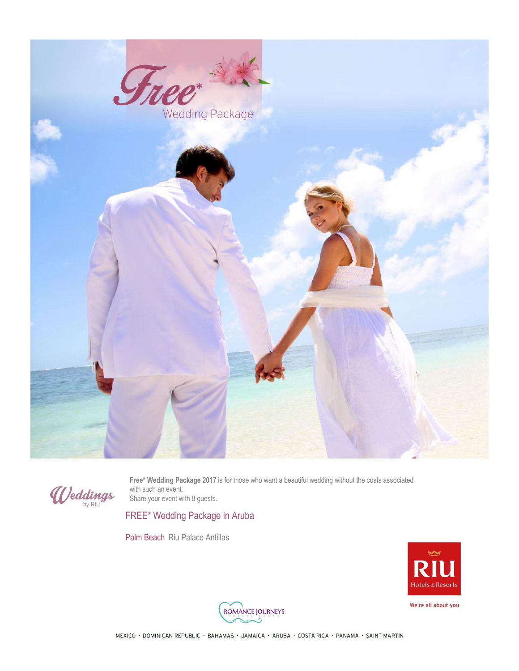



**Free\* Wedding Package 2017** is for those who want a beautiful wedding without the costs associated with such an event. Share your event with 8 guests.

FREE\* Wedding Package in Aruba

Palm Beach Riu Palace Antillas



We're all about you